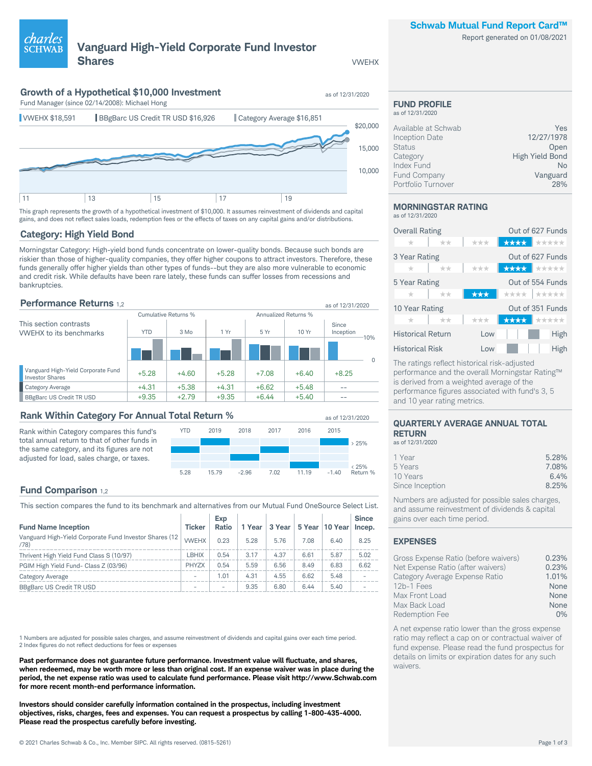### **Schwab Mutual Fund Report Card™**

Report generated on 01/08/2021

# **Vanguard High-Yield Corporate Fund Investor Shares** VWEHX

charles

## **Growth of a Hypothetical \$10,000 Investment** as of 12/31/2020



This graph represents the growth of a hypothetical investment of \$10,000. It assumes reinvestment of dividends and capital gains, and does not reflect sales loads, redemption fees or the effects of taxes on any capital gains and/or distributions.

## **Category: High Yield Bond**

Morningstar Category: High-yield bond funds concentrate on lower-quality bonds. Because such bonds are riskier than those of higher-quality companies, they offer higher coupons to attract investors. Therefore, these funds generally offer higher yields than other types of funds--but they are also more vulnerable to economic and credit risk. While defaults have been rare lately, these funds can suffer losses from recessions and bankruptcies.

### **Performance Returns** 1.2 **as of 12/31/2020** as of 12/31/2020

|                                                              | Cumulative Returns % |         |         | Annualized Returns % |         |                    |        |
|--------------------------------------------------------------|----------------------|---------|---------|----------------------|---------|--------------------|--------|
| This section contrasts<br><b>VWEHX</b> to its benchmarks     | <b>YTD</b>           | $3$ Mo  | 1 Yr    | 5 Yr                 | 10 Yr   | Since<br>Inception |        |
|                                                              |                      |         |         |                      |         |                    | $-10%$ |
| Vanguard High-Yield Corporate Fund<br><b>Investor Shares</b> | $+5.28$              | $+4.60$ | $+5.28$ | $+7.08$              | $+6.40$ | $+8.25$            |        |
| Category Average                                             | $+4.31$              | $+5.38$ | $+4.31$ | $+6.62$              | $+5.48$ | --                 |        |
| <b>BBgBarc US Credit TR USD</b>                              | $+9.35$              | $+2.79$ | $+9.35$ | $+6.44$              | $+5.40$ |                    |        |

### **Rank Within Category For Annual Total Return %** as of 12/31/2020

Rank within Category compares this fund's total annual return to that of other funds in the same category, and its figures are not adjusted for load, sales charge, or taxes.



## **Fund Comparison** 1,2

This section compares the fund to its benchmark and alternatives from our Mutual Fund OneSource Select List.

| <b>Fund Name Inception</b>                                      | <b>Ticker</b>            | Exp<br><b>Ratio</b>      | 1 Year | 3 Year |      | 5 Year 10 Year | <b>Since</b><br>Incep. |
|-----------------------------------------------------------------|--------------------------|--------------------------|--------|--------|------|----------------|------------------------|
| Vanguard High-Yield Corporate Fund Investor Shares (12)<br>(78) | <b>VWEHX</b>             | 0.23                     | 5.28   | 5.76   | 7.08 | 6.40           | 8.25                   |
| Thrivent High Yield Fund Class S (10/97)                        | LBHIX                    | 0.54                     | 3.17   | 4.37   | 6.61 | 5.87           | 5.02                   |
| PGIM High Yield Fund- Class Z (03/96)                           | <b>PHYZX</b>             | 0.54                     | 5.59   | 6.56   | 8.49 | 6.83           | 6.62                   |
| <b>Category Average</b>                                         | $\overline{\phantom{a}}$ | 1.01                     | 4.31   | 4.55   | 6.62 | 5.48           |                        |
| BBgBarc US Credit TR USD                                        | $\overline{\phantom{a}}$ | $\overline{\phantom{a}}$ | 9.35   | 6.80   | 6.44 | 5.40           |                        |

1 Numbers are adjusted for possible sales charges, and assume reinvestment of dividends and capital gains over each time period. 2 Index figures do not reflect deductions for fees or expenses

**Past performance does not guarantee future performance. Investment value will fluctuate, and shares, when redeemed, may be worth more or less than original cost. If an expense waiver was in place during the period, the net expense ratio was used to calculate fund performance. Please visit http://www.Schwab.com for more recent month-end performance information.**

**Investors should consider carefully information contained in the prospectus, including investment objectives, risks, charges, fees and expenses. You can request a prospectus by calling 1-800-435-4000. Please read the prospectus carefully before investing.**

### **FUND PROFILE** as of 12/31/2020

| Available at Schwab | Yes                    |
|---------------------|------------------------|
| Inception Date      | 12/27/1978             |
| <b>Status</b>       | Open                   |
| Category            | <b>High Yield Bond</b> |
| Index Fund          | Nο                     |
| Fund Company        | Vanguard               |

Portfolio Turnover 28%

#### **MORNINGSTAR RATING** as of 12/31/2020

| <b>Overall Rating</b><br>$^{\star}$ | **    | ***  |                  | Out of 627 Funds<br><del>★★★★</del> ★★★★★ |  |
|-------------------------------------|-------|------|------------------|-------------------------------------------|--|
| 3 Year Rating                       |       |      |                  | Out of 627 Funds                          |  |
| $\pm$                               | **    | ***  |                  | <del>★★★★</del> ★★★★★                     |  |
| 5 Year Rating                       |       |      | Out of 554 Funds |                                           |  |
| $\pm$                               | $+ +$ | ***  |                  | ****   *****                              |  |
| 10 Year Rating                      |       |      |                  | Out of 351 Funds                          |  |
|                                     | $+ +$ | ***  |                  | <del>★★★★</del> ★☆☆☆☆                     |  |
| <b>Historical Return</b>            |       | Low  |                  | High                                      |  |
| <b>Historical Risk</b>              |       | l ow |                  | High                                      |  |

The ratings reflect historical risk-adjusted performance and the overall Morningstar Rating™ is derived from a weighted average of the performance figures associated with fund's 3, 5 and 10 year rating metrics.

### **QUARTERLY AVERAGE ANNUAL TOTAL RETURN**

as of 12/31/2020

| 1 Year          | 5.28% |
|-----------------|-------|
| 5 Years         | 7.08% |
| 10 Years        | 6.4%  |
| Since Inception | 8.25% |
|                 |       |

Numbers are adjusted for possible sales charges, and assume reinvestment of dividends & capital gains over each time period.

## **EXPENSES**

| Gross Expense Ratio (before waivers) | 0.23%      |
|--------------------------------------|------------|
| Net Expense Ratio (after waivers)    | 0.23%      |
| Category Average Expense Ratio       | 1.01%      |
| 12b-1 Fees                           | None       |
| Max Front Load                       | None       |
| Max Back Load                        | None       |
| Redemption Fee                       | $\Omega\%$ |

A net expense ratio lower than the gross expense ratio may reflect a cap on or contractual waiver of fund expense. Please read the fund prospectus for details on limits or expiration dates for any such waivers.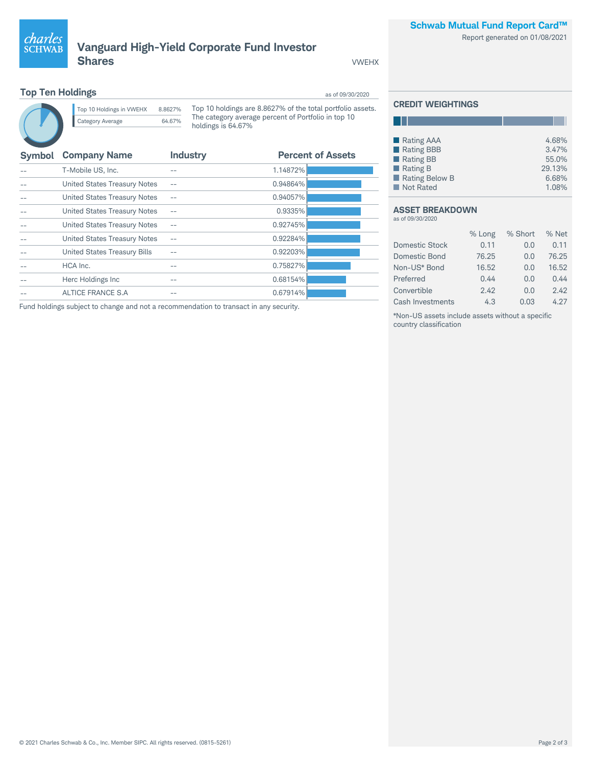

Report generated on 01/08/2021



## **Vanguard High-Yield Corporate Fund Investor Shares VWEHX**

## **Top Ten Holdings** as of 09/30/2020



Top 10 Holdings in VWEHX 8.8627% Category Average 64.67%

Top 10 holdings are 8.8627% of the total portfolio assets. The category average percent of Portfolio in top 10 holdings is 64.67%

| <b>Symbol</b> | <b>Company Name</b>          | <b>Industry</b> | <b>Percent of Assets</b> |
|---------------|------------------------------|-----------------|--------------------------|
|               | T-Mobile US, Inc.            |                 | 1.14872%                 |
|               | United States Treasury Notes |                 | 0.94864%                 |
|               | United States Treasury Notes |                 | 0.94057%                 |
|               | United States Treasury Notes |                 | 0.9335%                  |
|               | United States Treasury Notes |                 | 0.92745%                 |
|               | United States Treasury Notes | --              | 0.92284%                 |
|               | United States Treasury Bills |                 | 0.92203%                 |
|               | HCA Inc.                     | --              | 0.75827%                 |
|               | Herc Holdings Inc            | --              | 0.68154%                 |
|               | ALTICE FRANCE S.A.           |                 | 0.67914%                 |

Fund holdings subject to change and not a recommendation to transact in any security.

### **CREDIT WEIGHTINGS**

H.

| ■ Rating AAA            | 4.68%  |
|-------------------------|--------|
| Rating BBB              | 3.47%  |
| Rating BB               | 55.0%  |
| $\blacksquare$ Rating B | 29.13% |
| Rating Below B          | 6.68%  |
| Not Rated               | 1.08%  |

#### **ASSET BREAKDOWN** as of 09/30/2020

|                       | % Long | % Short | % Net |
|-----------------------|--------|---------|-------|
| <b>Domestic Stock</b> | 0.11   | 0.0     | 0.11  |
| Domestic Bond         | 76.25  | 0.0     | 76.25 |
| Non-US* Bond          | 16.52  | 0.0     | 16.52 |
| Preferred             | 0.44   | 0.0     | 0.44  |
| Convertible           | 2.42   | 0.0     | 2.42  |
| Cash Investments      | 4.3    | 0.03    | 4.27  |

\*Non-US assets include assets without a specific country classification